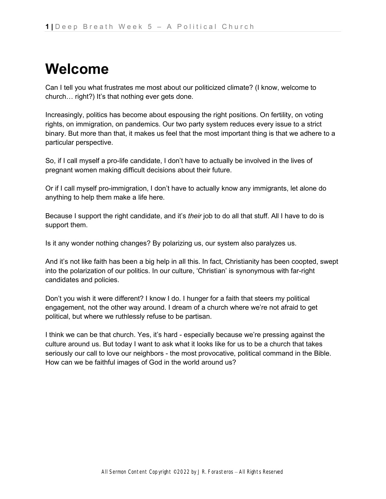## **Welcome**

Can I tell you what frustrates me most about our politicized climate? (I know, welcome to church… right?) It's that nothing ever gets done.

Increasingly, politics has become about espousing the right positions. On fertility, on voting rights, on immigration, on pandemics. Our two party system reduces every issue to a strict binary. But more than that, it makes us feel that the most important thing is that we adhere to a particular perspective.

So, if I call myself a pro-life candidate, I don't have to actually be involved in the lives of pregnant women making difficult decisions about their future.

Or if I call myself pro-immigration, I don't have to actually know any immigrants, let alone do anything to help them make a life here.

Because I support the right candidate, and it's *their* job to do all that stuff. All I have to do is support them.

Is it any wonder nothing changes? By polarizing us, our system also paralyzes us.

And it's not like faith has been a big help in all this. In fact, Christianity has been coopted, swept into the polarization of our politics. In our culture, 'Christian' is synonymous with far-right candidates and policies.

Don't you wish it were different? I know I do. I hunger for a faith that steers my political engagement, not the other way around. I dream of a church where we're not afraid to get political, but where we ruthlessly refuse to be partisan.

I think we can be that church. Yes, it's hard - especially because we're pressing against the culture around us. But today I want to ask what it looks like for us to be a church that takes seriously our call to love our neighbors - the most provocative, political command in the Bible. How can we be faithful images of God in the world around us?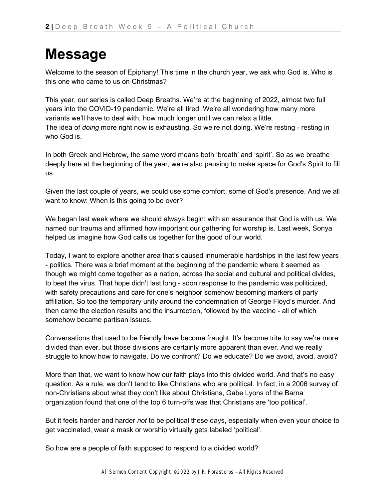## **Message**

Welcome to the season of Epiphany! This time in the church year, we ask who God is. Who is this one who came to us on Christmas?

This year, our series is called Deep Breaths. We're at the beginning of 2022, almost two full years into the COVID-19 pandemic. We're all tired. We're all wondering how many more variants we'll have to deal with, how much longer until we can relax a little. The idea of *doing* more right now is exhausting. So we're not doing. We're resting - resting in who God is.

In both Greek and Hebrew, the same word means both 'breath' and 'spirit'. So as we breathe deeply here at the beginning of the year, we're also pausing to make space for God's Spirit to fill us.

Given the last couple of years, we could use some comfort, some of God's presence. And we all want to know: When is this going to be over?

We began last week where we should always begin: with an assurance that God is with us. We named our trauma and affirmed how important our gathering for worship is. Last week, Sonya helped us imagine how God calls us together for the good of our world.

Today, I want to explore another area that's caused innumerable hardships in the last few years - politics. There was a brief moment at the beginning of the pandemic where it seemed as though we might come together as a nation, across the social and cultural and political divides, to beat the virus. That hope didn't last long - soon response to the pandemic was politicized, with safety precautions and care for one's neighbor somehow becoming markers of party affiliation. So too the temporary unity around the condemnation of George Floyd's murder. And then came the election results and the insurrection, followed by the vaccine - all of which somehow became partisan issues.

Conversations that used to be friendly have become fraught. It's become trite to say we're more divided than ever, but those divisions are certainly more apparent than ever. And we really struggle to know how to navigate. Do we confront? Do we educate? Do we avoid, avoid, avoid?

More than that, we want to know how our faith plays into this divided world. And that's no easy question. As a rule, we don't tend to like Christians who are political. In fact, in a 2006 survey of non-Christians about what they don't like about Christians, Gabe Lyons of the Barna organization found that one of the top 6 turn-offs was that Christians are 'too political'.

But it feels harder and harder *not* to be political these days, especially when even your choice to get vaccinated, wear a mask or worship virtually gets labeled 'political'.

So how are a people of faith supposed to respond to a divided world?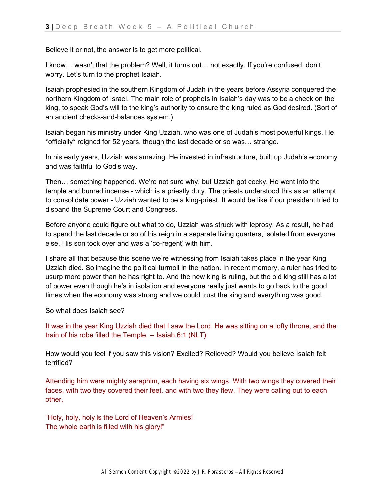Believe it or not, the answer is to get more political.

I know… wasn't that the problem? Well, it turns out… not exactly. If you're confused, don't worry. Let's turn to the prophet Isaiah.

Isaiah prophesied in the southern Kingdom of Judah in the years before Assyria conquered the northern Kingdom of Israel. The main role of prophets in Isaiah's day was to be a check on the king, to speak God's will to the king's authority to ensure the king ruled as God desired. (Sort of an ancient checks-and-balances system.)

Isaiah began his ministry under King Uzziah, who was one of Judah's most powerful kings. He \*officially\* reigned for 52 years, though the last decade or so was… strange.

In his early years, Uzziah was amazing. He invested in infrastructure, built up Judah's economy and was faithful to God's way.

Then… something happened. We're not sure why, but Uzziah got cocky. He went into the temple and burned incense - which is a priestly duty. The priests understood this as an attempt to consolidate power - Uzziah wanted to be a king-priest. It would be like if our president tried to disband the Supreme Court and Congress.

Before anyone could figure out what to do, Uzziah was struck with leprosy. As a result, he had to spend the last decade or so of his reign in a separate living quarters, isolated from everyone else. His son took over and was a 'co-regent' with him.

I share all that because this scene we're witnessing from Isaiah takes place in the year King Uzziah died. So imagine the political turmoil in the nation. In recent memory, a ruler has tried to usurp more power than he has right to. And the new king is ruling, but the old king still has a lot of power even though he's in isolation and everyone really just wants to go back to the good times when the economy was strong and we could trust the king and everything was good.

So what does Isaiah see?

It was in the year King Uzziah died that I saw the Lord. He was sitting on a lofty throne, and the train of his robe filled the Temple. -- Isaiah 6:1 (NLT)

How would you feel if you saw this vision? Excited? Relieved? Would you believe Isaiah felt terrified?

Attending him were mighty seraphim, each having six wings. With two wings they covered their faces, with two they covered their feet, and with two they flew. They were calling out to each other,

"Holy, holy, holy is the Lord of Heaven's Armies! The whole earth is filled with his glory!"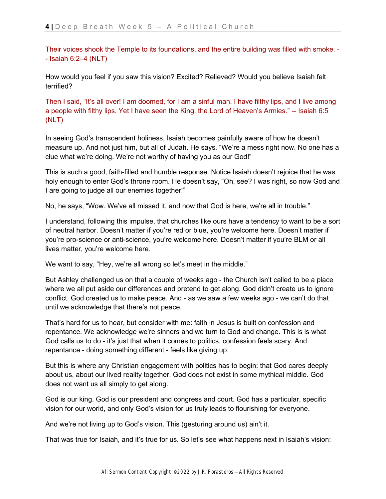Their voices shook the Temple to its foundations, and the entire building was filled with smoke. - - Isaiah 6:2–4 (NLT)

How would you feel if you saw this vision? Excited? Relieved? Would you believe Isaiah felt terrified?

Then I said, "It's all over! I am doomed, for I am a sinful man. I have filthy lips, and I live among a people with filthy lips. Yet I have seen the King, the Lord of Heaven's Armies." -- Isaiah 6:5 (NLT)

In seeing God's transcendent holiness, Isaiah becomes painfully aware of how he doesn't measure up. And not just him, but all of Judah. He says, "We're a mess right now. No one has a clue what we're doing. We're not worthy of having you as our God!"

This is such a good, faith-filled and humble response. Notice Isaiah doesn't rejoice that he was holy enough to enter God's throne room. He doesn't say, "Oh, see? I was right, so now God and I are going to judge all our enemies together!"

No, he says, "Wow. We've all missed it, and now that God is here, we're all in trouble."

I understand, following this impulse, that churches like ours have a tendency to want to be a sort of neutral harbor. Doesn't matter if you're red or blue, you're welcome here. Doesn't matter if you're pro-science or anti-science, you're welcome here. Doesn't matter if you're BLM or all lives matter, you're welcome here.

We want to say, "Hey, we're all wrong so let's meet in the middle."

But Ashley challenged us on that a couple of weeks ago - the Church isn't called to be a place where we all put aside our differences and pretend to get along. God didn't create us to ignore conflict. God created us to make peace. And - as we saw a few weeks ago - we can't do that until we acknowledge that there's not peace.

That's hard for us to hear, but consider with me: faith in Jesus is built on confession and repentance. We acknowledge we're sinners and we turn to God and change. This is is what God calls us to do - it's just that when it comes to politics, confession feels scary. And repentance - doing something different - feels like giving up.

But this is where any Christian engagement with politics has to begin: that God cares deeply about us, about our lived reality together. God does not exist in some mythical middle. God does not want us all simply to get along.

God is our king. God is our president and congress and court. God has a particular, specific vision for our world, and only God's vision for us truly leads to flourishing for everyone.

And we're not living up to God's vision. This (gesturing around us) ain't it.

That was true for Isaiah, and it's true for us. So let's see what happens next in Isaiah's vision: